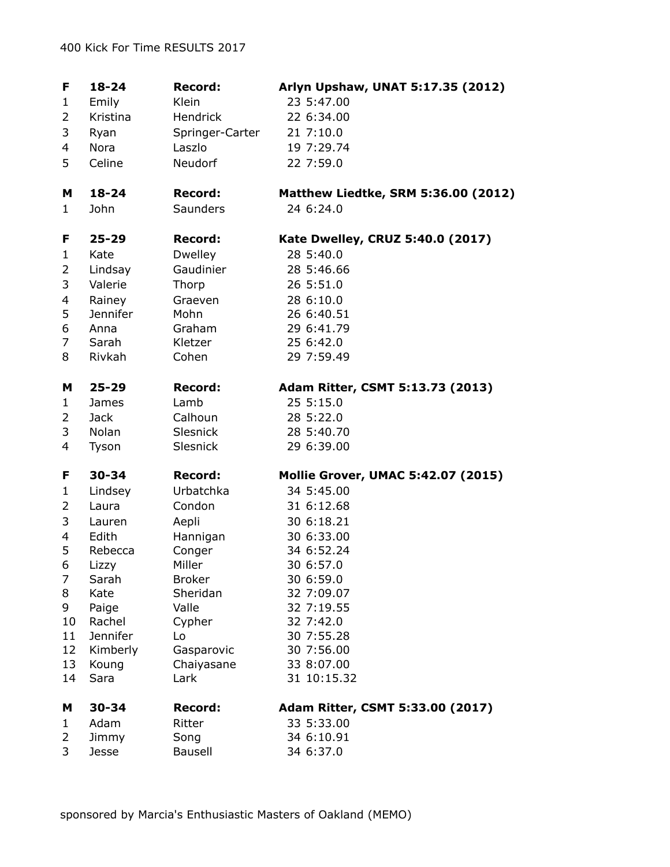| F            | $18 - 24$          | <b>Record:</b>  | Arlyn Upshaw, UNAT 5:17.35 (2012)         |
|--------------|--------------------|-----------------|-------------------------------------------|
| 1            | Emily              | Klein           | 23 5:47.00                                |
| 2            | Kristina           | Hendrick        | 22 6:34.00                                |
| 3            | Ryan               | Springer-Carter | 21 7:10.0                                 |
| 4            | Nora               | Laszlo          | 19 7:29.74                                |
| 5            | Celine             | Neudorf         | 22 7:59.0                                 |
|              |                    |                 |                                           |
| м            | $18 - 24$          | <b>Record:</b>  | Matthew Liedtke, SRM 5:36.00 (2012)       |
| 1            | John               | Saunders        | 24 6:24.0                                 |
| F            | $25 - 29$          | <b>Record:</b>  | Kate Dwelley, CRUZ 5:40.0 (2017)          |
| $\mathbf{1}$ | Kate               | <b>Dwelley</b>  | 28 5:40.0                                 |
| 2            | Lindsay            | Gaudinier       | 28 5:46.66                                |
| 3            | Valerie            | Thorp           | 26 5:51.0                                 |
| 4            | Rainey             | Graeven         | 28 6:10.0                                 |
| 5            | <b>Jennifer</b>    | Mohn            | 26 6:40.51                                |
| 6            | Anna               | Graham          | 29 6:41.79                                |
| 7            | Sarah              | Kletzer         | 25 6:42.0                                 |
| 8            | Rivkah             | Cohen           | 29 7:59.49                                |
| м            | $25 - 29$          | <b>Record:</b>  | Adam Ritter, CSMT 5:13.73 (2013)          |
| 1            | <b>James</b>       | Lamb            | 25 5:15.0                                 |
| 2            | <b>Jack</b>        | Calhoun         | 28 5:22.0                                 |
| 3            | Nolan              | Slesnick        | 28 5:40.70                                |
| 4            | Tyson              | Slesnick        | 29 6:39.00                                |
| F            | 30-34              | <b>Record:</b>  | <b>Mollie Grover, UMAC 5:42.07 (2015)</b> |
| 1            | Lindsey            | Urbatchka       | 34 5:45.00                                |
| 2            | Laura              | Condon          | 31 6:12.68                                |
| 3            | Lauren             | Aepli           | 30 6:18.21                                |
| 4            | Edith              | Hannigan        | 30 6:33.00                                |
| 5            | Rebecca            | Conger          | 34 6:52.24                                |
| 6            | Lizzy              | Miller          | 30 6:57.0                                 |
| 7            | Sarah              | <b>Broker</b>   | 30 6:59.0                                 |
| 8            | Kate               | Sheridan        | 32 7:09.07                                |
| 9            | Paige              | Valle           | 32 7:19.55                                |
| 10<br>11     | Rachel<br>Jennifer | Cypher<br>Lo    | 32 7:42.0<br>30 7:55.28                   |
| 12           | Kimberly           | Gasparovic      | 30 7:56.00                                |
| 13           | Koung              | Chaiyasane      | 33 8:07.00                                |
| 14           | Sara               | Lark            | 31 10:15.32                               |
| M            | $30 - 34$          | <b>Record:</b>  | Adam Ritter, CSMT 5:33.00 (2017)          |
| 1            | Adam               | Ritter          | 33 5:33.00                                |
| 2            | Jimmy              | Song            | 34 6:10.91                                |
| 3            | Jesse              | <b>Bausell</b>  | 34 6:37.0                                 |
|              |                    |                 |                                           |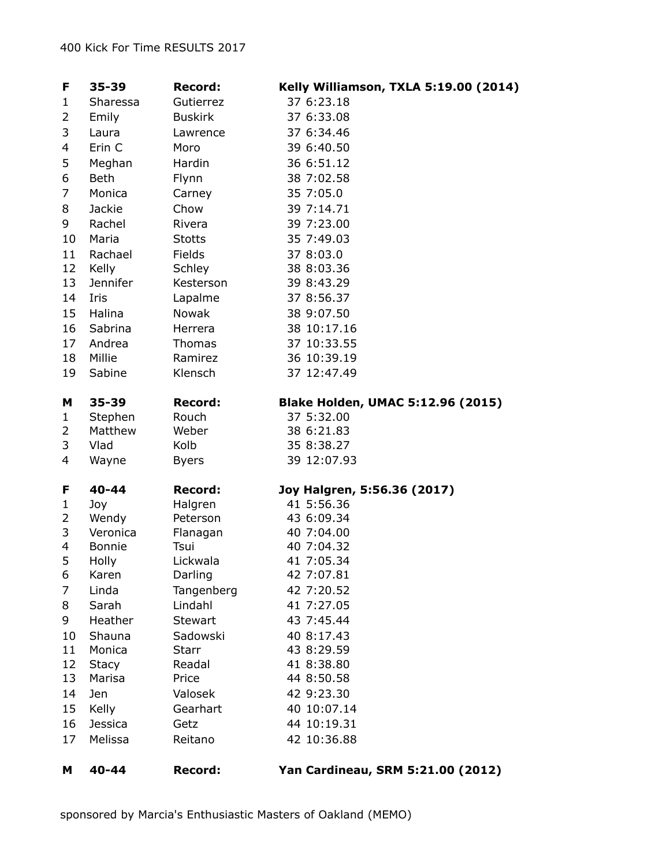| F            | 35-39                     | <b>Record:</b>   | Kelly Williamson, TXLA 5:19.00 (2014)    |
|--------------|---------------------------|------------------|------------------------------------------|
| 1            | Sharessa                  | Gutierrez        | 37 6:23.18                               |
| 2            | Emily                     | <b>Buskirk</b>   | 37 6:33.08                               |
| 3            | Laura                     | Lawrence         | 37 6:34.46                               |
| 4            | Erin C                    | Moro             | 39 6:40.50                               |
| 5            | Meghan                    | Hardin           | 36 6:51.12                               |
| 6            | <b>Beth</b>               | Flynn            | 38 7:02.58                               |
| 7            | Monica                    | Carney           | 35 7:05.0                                |
| 8            | Jackie                    | Chow             | 39 7:14.71                               |
| 9            | Rachel                    | Rivera           | 39 7:23.00                               |
| 10           | Maria                     | <b>Stotts</b>    | 35 7:49.03                               |
| 11           | Rachael                   | Fields           | 37 8:03.0                                |
| 12           | Kelly                     | Schley           | 38 8:03.36                               |
| 13           | Jennifer                  | Kesterson        | 39 8:43.29                               |
| 14           | Iris                      | Lapalme          | 37 8:56.37                               |
| 15           | Halina                    | <b>Nowak</b>     | 38 9:07.50                               |
| 16           | Sabrina                   | Herrera          | 38 10:17.16                              |
| 17           | Andrea                    | Thomas           | 37 10:33.55                              |
| 18           | Millie                    | Ramirez          | 36 10:39.19                              |
| 19           | Sabine                    | Klensch          | 37 12:47.49                              |
| M            | 35-39                     | <b>Record:</b>   | <b>Blake Holden, UMAC 5:12.96 (2015)</b> |
| $\mathbf{1}$ | Stephen                   | Rouch            | 37 5:32.00                               |
| 2            | Matthew                   | Weber            | 38 6:21.83                               |
| 3            | Vlad                      | Kolb             | 35 8:38.27                               |
| 4            | Wayne                     | <b>Byers</b>     | 39 12:07.93                              |
| F            | 40-44                     | <b>Record:</b>   | Joy Halgren, 5:56.36 (2017)              |
| $\mathbf{1}$ | Joy                       | Halgren          | 41 5:56.36                               |
| 2            | Wendy                     | Peterson         | 43 6:09.34                               |
| 3<br>4       | Veronica<br><b>Bonnie</b> | Flanagan<br>Tsui | 40 7:04.00<br>40 7:04.32                 |
| 5            | Holly                     | Lickwala         | 41 7:05.34                               |
| 6            | Karen                     | Darling          | 42 7:07.81                               |
| 7            | Linda                     | Tangenberg       | 42 7:20.52                               |
| 8            | Sarah                     | Lindahl          | 41 7:27.05                               |
| 9            | Heather                   | <b>Stewart</b>   | 43 7:45.44                               |
| 10           | Shauna                    | Sadowski         | 40 8:17.43                               |
| 11           | Monica                    | <b>Starr</b>     | 43 8:29.59                               |
| 12           | <b>Stacy</b>              | Readal           | 41 8:38.80                               |
| 13           | Marisa                    | Price            | 44 8:50.58                               |
| 14           | Jen                       | Valosek          | 42 9:23.30                               |
| 15           | Kelly                     | Gearhart         | 40 10:07.14                              |
| 16           | <b>Jessica</b>            | Getz             | 44 10:19.31                              |
| 17           | Melissa                   | Reitano          | 42 10:36.88                              |
| м            | 40-44                     | <b>Record:</b>   | Yan Cardineau, SRM 5:21.00 (2012)        |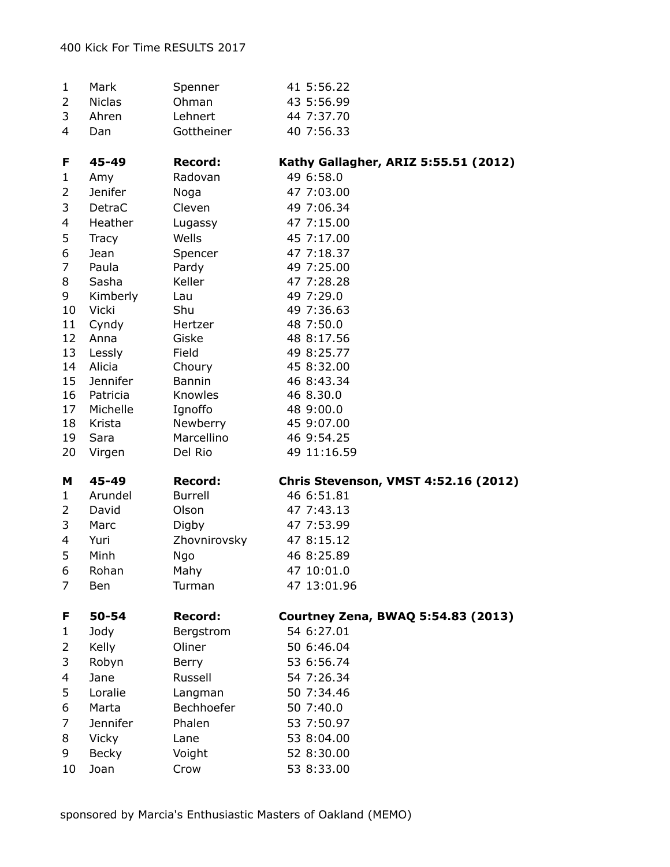| 1              | Mark             | Spenner          | 41 5:56.22                                  |
|----------------|------------------|------------------|---------------------------------------------|
| $\overline{2}$ | <b>Niclas</b>    | Ohman            | 43 5:56.99                                  |
| 3              | Ahren            | Lehnert          | 44 7:37.70                                  |
| 4              | Dan              | Gottheiner       | 40 7:56.33                                  |
| F              | 45-49            | <b>Record:</b>   | Kathy Gallagher, ARIZ 5:55.51 (2012)        |
| 1              | Amy              | Radovan          | 49 6:58.0                                   |
| $\overline{2}$ | Jenifer          | Noga             | 47 7:03.00                                  |
| 3              | DetraC           | Cleven           | 49 7:06.34                                  |
| 4              | Heather          | Lugassy          | 47 7:15.00                                  |
| 5              | <b>Tracy</b>     | Wells            | 45 7:17.00                                  |
| 6              | Jean             | Spencer          | 47 7:18.37                                  |
| 7              | Paula            | Pardy            | 49 7:25.00                                  |
| 8              | Sasha            | Keller           | 47 7:28.28                                  |
| 9              | Kimberly         | Lau              | 49 7:29.0                                   |
| 10             | <b>Vicki</b>     | Shu              | 49 7:36.63                                  |
| 11             | Cyndy            | Hertzer          | 48 7:50.0                                   |
| 12             | Anna             | Giske            | 48 8:17.56                                  |
| 13<br>14       | Lessly<br>Alicia | Field            | 49 8:25.77                                  |
| 15             | Jennifer         | Choury<br>Bannin | 45 8:32.00<br>46 8:43.34                    |
| 16             | Patricia         | Knowles          | 46 8.30.0                                   |
| 17             | Michelle         | Ignoffo          | 48 9:00.0                                   |
| 18             | Krista           | Newberry         | 45 9:07.00                                  |
| 19             | Sara             | Marcellino       | 46 9:54.25                                  |
| 20             | Virgen           | Del Rio          | 49 11:16.59                                 |
| м              | 45-49            | <b>Record:</b>   | <b>Chris Stevenson, VMST 4:52.16 (2012)</b> |
| 1              | Arundel          | <b>Burrell</b>   | 46 6:51.81                                  |
| 2              | David            | Olson            | 47 7:43.13                                  |
| 3              | Marc             | Digby            | 47 7:53.99                                  |
| 4              | Yuri             | Zhovnirovsky     | 47 8:15.12                                  |
| 5              | Minh             | Ngo              | 46 8:25.89                                  |
| 6              | Rohan            | Mahy             | 47 10:01.0                                  |
| 7              | Ben              | Turman           | 47 13:01.96                                 |
| F              | 50-54            | <b>Record:</b>   | Courtney Zena, BWAQ 5:54.83 (2013)          |
| 1              | Jody             | Bergstrom        | 54 6:27.01                                  |
| 2              | Kelly            | Oliner           | 50 6:46.04                                  |
| 3              | Robyn            | Berry            | 53 6:56.74                                  |
| 4              | Jane             | Russell          | 54 7:26.34                                  |
| 5              | Loralie          | Langman          | 50 7:34.46                                  |
| 6              | Marta            | Bechhoefer       | 50 7:40.0                                   |
| 7              | Jennifer         | Phalen           | 53 7:50.97                                  |
| 8              | Vicky            | Lane             | 53 8:04.00                                  |
| 9              | <b>Becky</b>     | Voight           | 52 8:30.00                                  |
| 10             | Joan             | Crow             | 53 8:33.00                                  |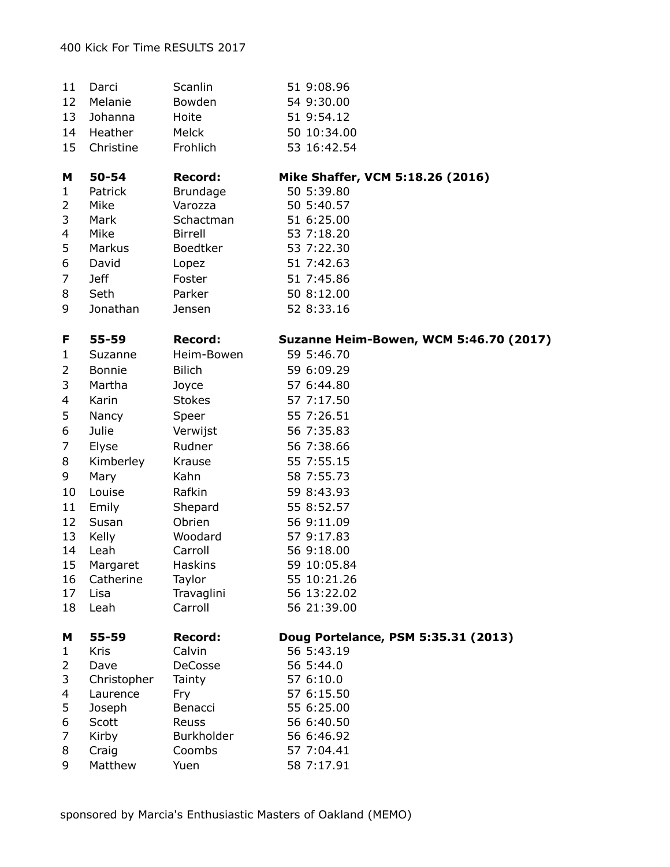| 11       | Darci          | Scanlin         | 51 9:08.96                                    |
|----------|----------------|-----------------|-----------------------------------------------|
| 12       | Melanie        | Bowden          | 54 9:30.00                                    |
| 13       | Johanna        | Hoite           | 51 9:54.12                                    |
| 14       | Heather        | Melck           | 50 10:34.00                                   |
| 15       | Christine      | Frohlich        | 53 16:42.54                                   |
| м        | 50-54          | <b>Record:</b>  | Mike Shaffer, VCM 5:18.26 (2016)              |
| 1        | Patrick        | <b>Brundage</b> | 50 5:39.80                                    |
| 2        | Mike           | Varozza         | 50 5:40.57                                    |
| 3        | Mark           | Schactman       | 51 6:25.00                                    |
| 4        | Mike           | <b>Birrell</b>  | 53 7:18.20                                    |
| 5        | Markus         | <b>Boedtker</b> | 53 7:22.30                                    |
| 6        | David          | Lopez           | 51 7:42.63                                    |
| 7        | <b>Jeff</b>    | Foster          | 51 7:45.86                                    |
| 8        | Seth           | Parker          | 50 8:12.00                                    |
| 9        | Jonathan       | Jensen          | 52 8:33.16                                    |
| F        | 55-59          | <b>Record:</b>  | <b>Suzanne Heim-Bowen, WCM 5:46.70 (2017)</b> |
| 1        | Suzanne        | Heim-Bowen      | 59 5:46.70                                    |
| 2        | Bonnie         | <b>Bilich</b>   | 59 6:09.29                                    |
| 3        | Martha         | Joyce           | 57 6:44.80                                    |
| 4        | Karin          | <b>Stokes</b>   | 57 7:17.50                                    |
| 5        | Nancy          | Speer           | 55 7:26.51                                    |
| 6        | Julie          | Verwijst        | 56 7:35.83                                    |
| 7        | Elyse          | Rudner          | 56 7:38.66                                    |
| 8        | Kimberley      | Krause          | 55 7:55.15                                    |
| 9        | Mary           | Kahn            | 58 7:55.73                                    |
| 10       | Louise         | Rafkin          | 59 8:43.93                                    |
| 11       |                | Shepard         | 55 8:52.57                                    |
|          | Emily<br>Susan | Obrien          |                                               |
| 12<br>13 |                | Woodard         | 56 9:11.09                                    |
| 14       | Kelly<br>Leah  | Carroll         | 57 9:17.83<br>56 9:18.00                      |
| 15       | Margaret       | <b>Haskins</b>  | 59 10:05.84                                   |
| 16       | Catherine      | Taylor          | 55 10:21.26                                   |
| 17       | Lisa           | Travaglini      | 56 13:22.02                                   |
| 18       | Leah           | Carroll         | 56 21:39.00                                   |
| M        | 55-59          | <b>Record:</b>  | Doug Portelance, PSM 5:35.31 (2013)           |
| 1        | <b>Kris</b>    | Calvin          | 56 5:43.19                                    |
| 2        | Dave           | <b>DeCosse</b>  | 56 5:44.0                                     |
| 3        | Christopher    | Tainty          | 57 6:10.0                                     |
| 4        | Laurence       | Fry             | 57 6:15.50                                    |
| 5        | Joseph         | Benacci         | 55 6:25.00                                    |
| 6        | Scott          | Reuss           | 56 6:40.50                                    |
| 7        | Kirby          | Burkholder      | 56 6:46.92                                    |
| 8        | Craig          | Coombs          | 57 7:04.41                                    |
| 9        | Matthew        | Yuen            | 58 7:17.91                                    |
|          |                |                 |                                               |

sponsored by Marcia's Enthusiastic Masters of Oakland (MEMO)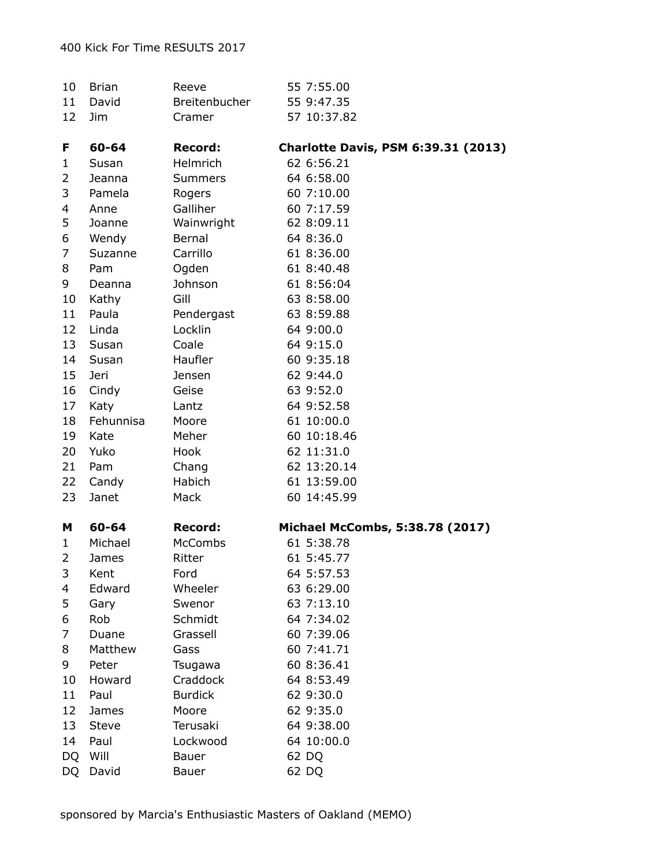| 10        | <b>Brian</b> | Reeve          | 55 7:55.00                                    |
|-----------|--------------|----------------|-----------------------------------------------|
| 11        | David        | Breitenbucher  | 55 9:47.35                                    |
| 12        | Jim          | Cramer         | 57 10:37.82                                   |
|           |              |                |                                               |
| F         | 60-64        | <b>Record:</b> | <b>Charlotte Davis, PSM 6:39.31 (2013)</b>    |
| 1         | Susan        | Helmrich       | 62 6:56.21                                    |
| 2         | Jeanna       | <b>Summers</b> | 64 6:58.00                                    |
| 3         | Pamela       | Rogers         | 60 7:10.00                                    |
| 4         | Anne         | Galliher       | 60 7:17.59                                    |
| 5         | Joanne       | Wainwright     | 62 8:09.11                                    |
| 6         | Wendy        | Bernal         | 64 8:36.0                                     |
| 7         | Suzanne      | Carrillo       | 61 8:36.00                                    |
| 8         | Pam          | Ogden          | 61 8:40.48                                    |
| 9         | Deanna       | Johnson        | 61 8:56:04                                    |
| 10        | Kathy        | Gill           | 63 8:58.00                                    |
| 11        | Paula        | Pendergast     | 63 8:59.88                                    |
| 12        | Linda        | Locklin        | 64 9:00.0                                     |
| 13        | Susan        | Coale          | 64 9:15.0                                     |
| 14        | Susan        | Haufler        | 60 9:35.18                                    |
| 15        | Jeri         | Jensen         | 62 9:44.0                                     |
| 16        | Cindy        | Geise          | 63 9:52.0                                     |
| 17        | Katy         | Lantz          | 64 9:52.58                                    |
| 18        | Fehunnisa    | Moore          | 61 10:00.0                                    |
| 19        | Kate         | Meher          | 60 10:18.46                                   |
| 20        | Yuko         | Hook           | 62 11:31.0                                    |
| 21        | Pam          | Chang          | 62 13:20.14                                   |
| 22        | Candy        | Habich         | 61 13:59.00                                   |
| 23        | Janet        | Mack           | 60 14:45.99                                   |
|           |              |                |                                               |
| M         | 60-64        | <b>Record:</b> | Michael McCombs, 5:38.78 (2017)<br>61 5:38.78 |
| 1         | Michael      | <b>McCombs</b> |                                               |
| 2         | James        | Ritter         | 61 5:45.77                                    |
| 3         | Kent         | Ford           | 64 5:57.53                                    |
| 4         | Edward       | Wheeler        | 63 6:29.00                                    |
| 5         | Gary         | Swenor         | 63 7:13.10                                    |
| 6         | Rob          | Schmidt        | 64 7:34.02                                    |
| 7         | Duane        | Grassell       | 60 7:39.06                                    |
| 8         | Matthew      | Gass           | 60 7:41.71                                    |
| 9         | Peter        | Tsugawa        | 60 8:36.41                                    |
| 10        | Howard       | Craddock       | 64 8:53.49                                    |
| 11        | Paul         | <b>Burdick</b> | 62 9:30.0                                     |
| 12        | James        | Moore          | 62 9:35.0                                     |
| 13        | Steve        | Terusaki       | 64 9:38.00                                    |
| 14        | Paul         | Lockwood       | 64 10:00.0                                    |
| DQ        | Will         | <b>Bauer</b>   | 62 DQ                                         |
| <b>DQ</b> | David        | Bauer          | 62 DQ                                         |

sponsored by Marcia's Enthusiastic Masters of Oakland (MEMO)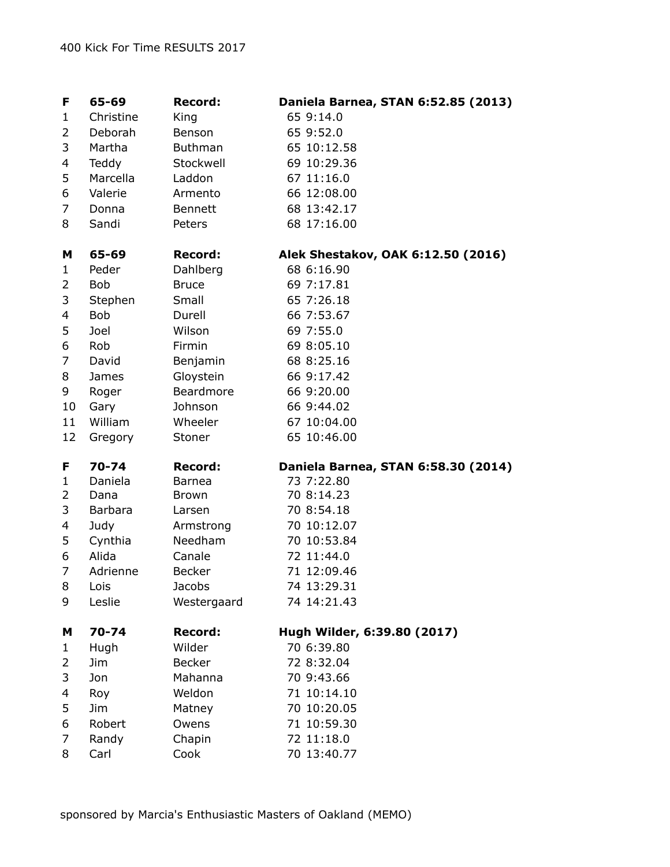| F  | 65-69         | <b>Record:</b> | Daniela Barnea, STAN 6:52.85 (2013) |
|----|---------------|----------------|-------------------------------------|
| 1  | Christine     | King           | 65 9:14.0                           |
| 2  | Deborah       | Benson         | 65 9:52.0                           |
| 3  | Martha        | <b>Buthman</b> | 65 10:12.58                         |
| 4  | Teddy         | Stockwell      | 69 10:29.36                         |
| 5  | Marcella      | Laddon         | 67 11:16.0                          |
| 6  | Valerie       | Armento        | 66 12:08.00                         |
| 7  | Donna         | <b>Bennett</b> | 68 13:42.17                         |
| 8  | Sandi         | Peters         | 68 17:16.00                         |
| M  | 65-69         | <b>Record:</b> | Alek Shestakov, OAK 6:12.50 (2016)  |
| 1  | Peder         | Dahlberg       | 68 6:16.90                          |
| 2  | <b>Bob</b>    | <b>Bruce</b>   | 69 7:17.81                          |
| 3  | Stephen       | Small          | 65 7:26.18                          |
| 4  | <b>Bob</b>    | Durell         | 66 7:53.67                          |
| 5  | Joel          | Wilson         | 69 7:55.0                           |
| 6  | Rob           | Firmin         | 69 8:05.10                          |
| 7  | David         | Benjamin       | 68 8:25.16                          |
| 8  | James         | Gloystein      | 66 9:17.42                          |
| 9  | Roger         | Beardmore      | 66 9:20.00                          |
| 10 | Gary          | Johnson        | 66 9:44.02                          |
| 11 | William       | Wheeler        | 67 10:04.00                         |
|    |               |                |                                     |
| 12 | Gregory       | Stoner         | 65 10:46.00                         |
| F  | $70 - 74$     | <b>Record:</b> | Daniela Barnea, STAN 6:58.30 (2014) |
| 1  | Daniela       | <b>Barnea</b>  | 73 7:22.80                          |
| 2  | Dana          | Brown          | 70 8:14.23                          |
| 3  | Barbara       | Larsen         | 70 8:54.18                          |
| 4  | Judy          | Armstrong      | 70 10:12.07                         |
| 5  | Cynthia       | Needham        | 70 10:53.84                         |
| 6  | Alida         | Canale         | 72 11:44.0                          |
| 7  | Adrienne      | <b>Becker</b>  | 71 12:09.46                         |
| 8  | Lois          | Jacobs         | 74 13:29.31                         |
| 9  | Leslie        | Westergaard    | 74 14:21.43                         |
| M  | 70-74         | <b>Record:</b> | Hugh Wilder, 6:39.80 (2017)         |
| 1  | Hugh          | Wilder         | 70 6:39.80                          |
| 2  | Jim           | <b>Becker</b>  | 72 8:32.04                          |
| 3  | Jon           | Mahanna        | 70 9:43.66                          |
| 4  | Roy           | Weldon         | 71 10:14.10                         |
| 5  | Jim           | Matney         | 70 10:20.05                         |
| 6  | Robert        | Owens          | 71 10:59.30                         |
| 7  | Randy<br>Carl | Chapin<br>Cook | 72 11:18.0<br>70 13:40.77           |